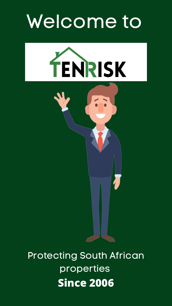## Welcome to





### Protecting South African properties **Since 2006**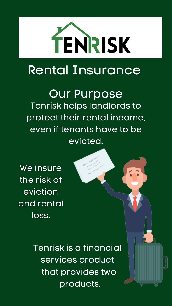

### Rental Insurance

Our Purpose Tenrisk helps landlords to protect their rental income, even if tenants have to be evicted.

We insure the risk of eviction and rental loss.



Tenrisk is a financial services product that provides two products.

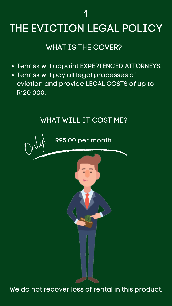- Tenrisk will appoint EXPERIENCED ATTORNEYS.
- Tenrisk will pay all legal processes of eviction and provide LEGAL COSTS of up to R120 000.

### WHAT IS THE COVER?

### WHAT WILL IT COST ME?

R95.00 per month.

1

# THE EVICTION LEGAL POLICY

Only!

#### We do not recover loss of rental in this product.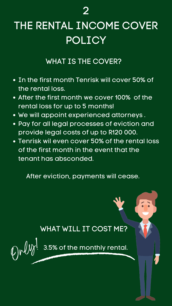- In the first month Tenrisk will cover 50% of the rental loss.
- After the first month we cover 100% of the rental loss for up to 5 months!
- We will appoint experienced attorneys.
- Pay for all legal processes of eviction and provide legal costs of up to R120 000.
- Tenrisk wil even cover 50% of the rental loss of the first month in the event that the tenant has absconded.

#### WHAT IS THE COVER?

After eviction, payments will cease.



#### WHAT WILL IT COST ME?



### 2

### THE RENTAL INCOME COVER POLICY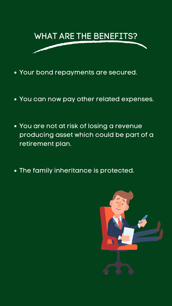

- Your bond repayments are secured.
- You can now pay other related expenses.
- You are not at risk of losing a revenue producing asset which could be part of a retirement plan.
- The family inheritance is protected.



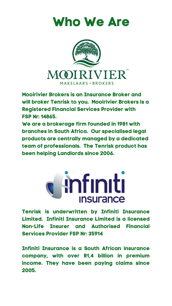**Mooirivier Brokers is an Insurance Broker and will broker Tenrisk to you. Mooirivier Brokers is a Registered Financial Services Provider with FSP Nr: 14865.**

**We are a brokerage firm founded in 1981 with branches in South Africa. Our specialised legal products are centrally managed by a dedicated team of professionals. The Tenrisk product has been helping Landlords since 2006.**







**Tenrisk is underwritten by Infiniti Insurance Limited. Infiniti Insurance Limited is a licensed Non-Life Insurer and Authorised Financial Services Provider FSP Nr: 35914**

**Infiniti Insurance is a South African insurance company, with over R1,4 billion in premium income. They have been paying claims since 2005.**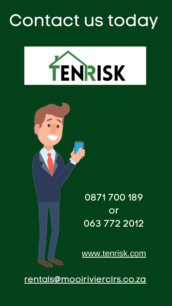## Contact us today







### [rentals@mooirivierclrs.co.za](mailto:rentals@mooirivierclrs.co.za)